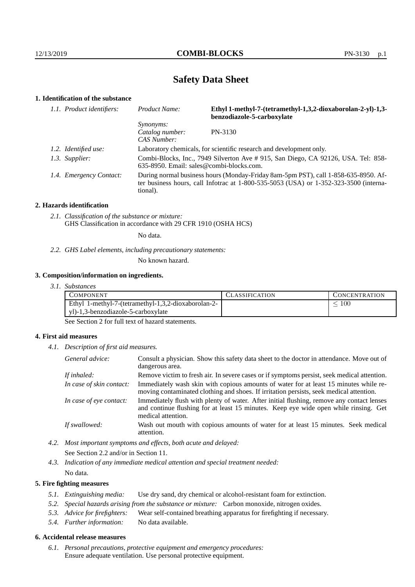# **Safety Data Sheet**

## **1. Identification of the substance**

| 1.1. Product identifiers: | Product Name:                                                                                                                                                                               | Ethyl 1-methyl-7-(tetramethyl-1,3,2-dioxaborolan-2-yl)-1,3-<br>benzodiazole-5-carboxylate |
|---------------------------|---------------------------------------------------------------------------------------------------------------------------------------------------------------------------------------------|-------------------------------------------------------------------------------------------|
|                           | <i>Synonyms:</i><br>Catalog number:<br>CAS Number:                                                                                                                                          | PN-3130                                                                                   |
| 1.2. Identified use:      | Laboratory chemicals, for scientific research and development only.                                                                                                                         |                                                                                           |
| 1.3. Supplier:            | Combi-Blocks, Inc., 7949 Silverton Ave # 915, San Diego, CA 92126, USA. Tel: 858-<br>$635-8950$ . Email: sales@combi-blocks.com.                                                            |                                                                                           |
| 1.4. Emergency Contact:   | During normal business hours (Monday-Friday 8am-5pm PST), call 1-858-635-8950. Af-<br>ter business hours, call Infotrac at $1-800-535-5053$ (USA) or $1-352-323-3500$ (interna-<br>tional). |                                                                                           |

## **2. Hazards identification**

*2.1. Classification of the substance or mixture:* GHS Classification in accordance with 29 CFR 1910 (OSHA HCS)

No data.

*2.2. GHS Label elements, including precautionary statements:*

No known hazard.

#### **3. Composition/information on ingredients.**

*3.1. Substances*

| <b>COMPONENT</b>                                    | CLASSIFICATION | <b>CONCENTRATION</b> |
|-----------------------------------------------------|----------------|----------------------|
| Ethyl 1-methyl-7-(tetramethyl-1,3,2-dioxaborolan-2- |                | 100                  |
| yl)-1,3-benzodiazole-5-carboxylate                  |                |                      |

See Section 2 for full text of hazard statements.

## **4. First aid measures**

*4.1. Description of first aid measures.*

| General advice:          | Consult a physician. Show this safety data sheet to the doctor in attendance. Move out of<br>dangerous area.                                                                                            |
|--------------------------|---------------------------------------------------------------------------------------------------------------------------------------------------------------------------------------------------------|
| If inhaled:              | Remove victim to fresh air. In severe cases or if symptoms persist, seek medical attention.                                                                                                             |
| In case of skin contact: | Immediately wash skin with copious amounts of water for at least 15 minutes while re-<br>moving contaminated clothing and shoes. If irritation persists, seek medical attention.                        |
| In case of eye contact:  | Immediately flush with plenty of water. After initial flushing, remove any contact lenses<br>and continue flushing for at least 15 minutes. Keep eye wide open while rinsing. Get<br>medical attention. |
| If swallowed:            | Wash out mouth with copious amounts of water for at least 15 minutes. Seek medical<br>attention.                                                                                                        |

*4.2. Most important symptoms and effects, both acute and delayed:* See Section 2.2 and/or in Section 11.

*4.3. Indication of any immediate medical attention and special treatment needed:* No data.

## **5. Fire fighting measures**

- *5.1. Extinguishing media:* Use dry sand, dry chemical or alcohol-resistant foam for extinction.
- *5.2. Special hazards arising from the substance or mixture:* Carbon monoxide, nitrogen oxides.
- *5.3. Advice for firefighters:* Wear self-contained breathing apparatus for firefighting if necessary.
- *5.4. Further information:* No data available.

## **6. Accidental release measures**

*6.1. Personal precautions, protective equipment and emergency procedures:* Ensure adequate ventilation. Use personal protective equipment.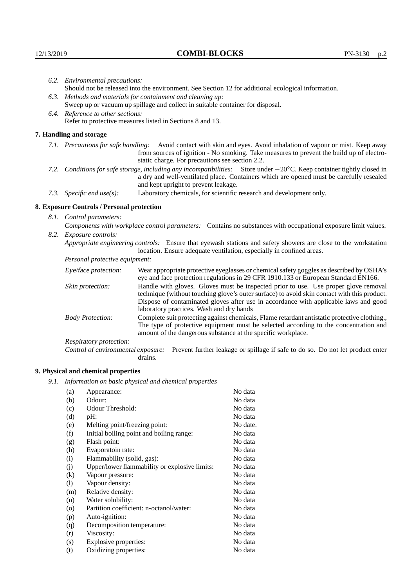|                                   | 6.2. Environmental precautions:                                                                                                                                                                                                                           |                                                                                                                                                                                                                                                                           |  |  |
|-----------------------------------|-----------------------------------------------------------------------------------------------------------------------------------------------------------------------------------------------------------------------------------------------------------|---------------------------------------------------------------------------------------------------------------------------------------------------------------------------------------------------------------------------------------------------------------------------|--|--|
|                                   | Should not be released into the environment. See Section 12 for additional ecological information.                                                                                                                                                        |                                                                                                                                                                                                                                                                           |  |  |
|                                   |                                                                                                                                                                                                                                                           | 6.3. Methods and materials for containment and cleaning up:                                                                                                                                                                                                               |  |  |
|                                   |                                                                                                                                                                                                                                                           | Sweep up or vacuum up spillage and collect in suitable container for disposal.                                                                                                                                                                                            |  |  |
| 6.4. Reference to other sections: |                                                                                                                                                                                                                                                           |                                                                                                                                                                                                                                                                           |  |  |
|                                   | Refer to protective measures listed in Sections 8 and 13.                                                                                                                                                                                                 |                                                                                                                                                                                                                                                                           |  |  |
|                                   | 7. Handling and storage                                                                                                                                                                                                                                   |                                                                                                                                                                                                                                                                           |  |  |
|                                   | 7.1. Precautions for safe handling:                                                                                                                                                                                                                       | Avoid contact with skin and eyes. Avoid inhalation of vapour or mist. Keep away<br>from sources of ignition - No smoking. Take measures to prevent the build up of electro-<br>static charge. For precautions see section 2.2.                                            |  |  |
|                                   | 7.2. Conditions for safe storage, including any incompatibilities: Store under -20°C. Keep container tightly closed in<br>a dry and well-ventilated place. Containers which are opened must be carefully resealed<br>and kept upright to prevent leakage. |                                                                                                                                                                                                                                                                           |  |  |
|                                   | 7.3. Specific end use(s):                                                                                                                                                                                                                                 | Laboratory chemicals, for scientific research and development only.                                                                                                                                                                                                       |  |  |
|                                   | 8. Exposure Controls / Personal protection                                                                                                                                                                                                                |                                                                                                                                                                                                                                                                           |  |  |
|                                   | 8.1. Control parameters:                                                                                                                                                                                                                                  |                                                                                                                                                                                                                                                                           |  |  |
|                                   | Components with workplace control parameters: Contains no substances with occupational exposure limit values.                                                                                                                                             |                                                                                                                                                                                                                                                                           |  |  |
|                                   | 8.2. Exposure controls:                                                                                                                                                                                                                                   |                                                                                                                                                                                                                                                                           |  |  |
|                                   |                                                                                                                                                                                                                                                           | Appropriate engineering controls: Ensure that eyewash stations and safety showers are close to the workstation<br>location. Ensure adequate ventilation, especially in confined areas.                                                                                    |  |  |
|                                   | Personal protective equipment:                                                                                                                                                                                                                            |                                                                                                                                                                                                                                                                           |  |  |
|                                   | Eye/face protection:                                                                                                                                                                                                                                      | Wear appropriate protective eyeglasses or chemical safety goggles as described by OSHA's<br>eye and face protection regulations in 29 CFR 1910.133 or European Standard EN166.                                                                                            |  |  |
|                                   | Skin protection:                                                                                                                                                                                                                                          | Handle with gloves. Gloves must be inspected prior to use. Use proper glove removal<br>technique (without touching glove's outer surface) to avoid skin contact with this product.<br>Dignage of conteminated glories often use in coordones with englished laws and good |  |  |

## **8. Exposure Controls / Personal protection**

| Eye/face protection:               | Wear appropriate protective eyeglasses or chemical safety goggles as described by OSHA's<br>eye and face protection regulations in 29 CFR 1910.133 or European Standard EN166.                                                                                                                                         |  |
|------------------------------------|------------------------------------------------------------------------------------------------------------------------------------------------------------------------------------------------------------------------------------------------------------------------------------------------------------------------|--|
| Skin protection:                   | Handle with gloves. Gloves must be inspected prior to use. Use proper glove removal<br>technique (without touching glove's outer surface) to avoid skin contact with this product.<br>Dispose of contaminated gloves after use in accordance with applicable laws and good<br>laboratory practices. Wash and dry hands |  |
| <b>Body Protection:</b>            | Complete suit protecting against chemicals, Flame retardant antistatic protective clothing.,<br>The type of protective equipment must be selected according to the concentration and<br>amount of the dangerous substance at the specific workplace.                                                                   |  |
| Respiratory protection:            |                                                                                                                                                                                                                                                                                                                        |  |
| Control of environmental exposure: | Prevent further leakage or spillage if safe to do so. Do not let product enter<br>drains.                                                                                                                                                                                                                              |  |

## **9. Physical and chemical properties**

*9.1. Information on basic physical and chemical properties*

| (a)      | Appearance:                                   | No data  |
|----------|-----------------------------------------------|----------|
| (b)      | Odour:                                        | No data  |
| (c)      | Odour Threshold:                              | No data  |
| (d)      | pH:                                           | No data  |
| (e)      | Melting point/freezing point:                 | No date. |
| (f)      | Initial boiling point and boiling range:      | No data  |
| (g)      | Flash point:                                  | No data  |
| (h)      | Evaporatoin rate:                             | No data  |
| (i)      | Flammability (solid, gas):                    | No data  |
| (j)      | Upper/lower flammability or explosive limits: | No data  |
| $\rm(k)$ | Vapour pressure:                              | No data  |
| (1)      | Vapour density:                               | No data  |
| (m)      | Relative density:                             | No data  |
| (n)      | Water solubility:                             | No data  |
| (0)      | Partition coefficient: n-octanol/water:       | No data  |
| (p)      | Auto-ignition:                                | No data  |
| (q)      | Decomposition temperature:                    | No data  |
| (r)      | Viscosity:                                    | No data  |
| (s)      | Explosive properties:                         | No data  |
| (t)      | Oxidizing properties:                         | No data  |